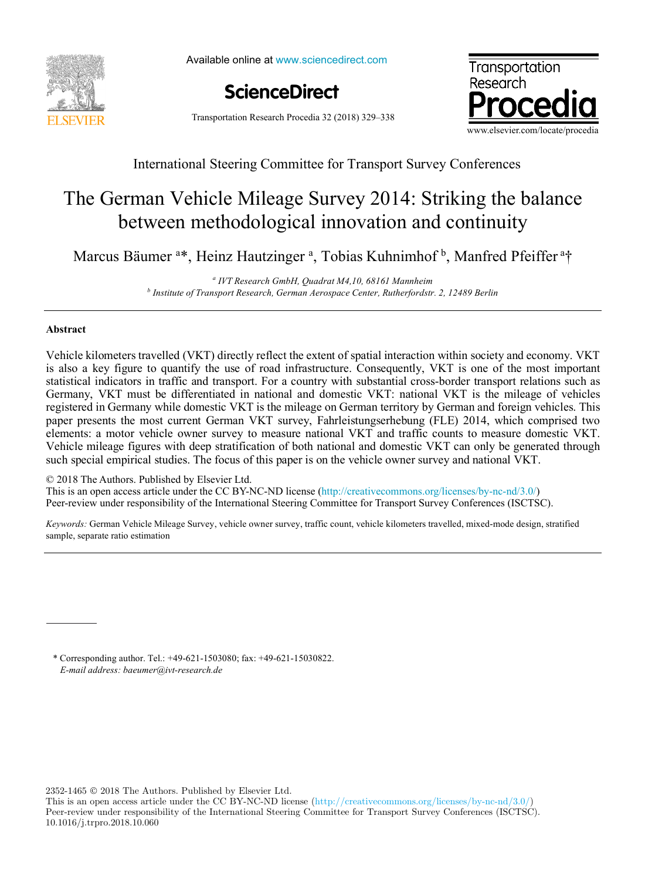

Available online at www.sciencedirect.com





Transportation Research Procedia 32 (2018) 329–338

# International Steering Committee for Transport Survey Conferences International Steering Committee for Transport Survey Conferences

# The German Vehicle Mileage Survey 2014: Striking the balance  $b_1$ <sup>1</sup> in an  $\alpha$  continuity  $b_2$  is the continuity of  $b_1$  in the continuity of  $b_2$  is the continuation and continuity The German Vehicle Mileage Survey 2014: Striking the balance between methodological innovation and continuity

Marcus Bäumer a \*, Heinz Hautzinger a , Tobias Kuhnimhof b , Manfred Pfeiffer <sup>a</sup> † Marcus Bäumer <sup>a\*</sup>, Heinz Hautzinger <sup>a</sup>, Tobias Kuhnimhof <sup>b</sup>, Manfred Pfeiffer <sup>a</sup>†

> *<sup>a</sup> IVT Research GmbH, Quadrat M4,10, 68161 Mannheim b Institute of Transport Research, German Aerospace Center, Rutherfordstr. 2, 12489 Berlin <sup>a</sup> IVT Research GmbH, Quadrat M4,10, 68161 Mannheim b Institute of Transport Research, German Aerospace Center, Rutherfordstr. 2, 12489 Berlin*

## **Abstract**

sample, separate ratio estimation

Vehicle kilometers travelled (VKT) directly reflect the extent of spatial interaction within society and economy. VKT is also a key figure to quantify the use of road infrastructure. Consequently, VKT is one of the most important statistical indicators in traffic and transport. For a country with substantial cross-border transport relations such as Germany, VKT must be differentiated in national and domestic VKT: national VKT is the mileage of vehicles. registered in Germany while domestic VKT is the mileage on German territory by German and foreign vehicles. This paper presents the most current German VKT survey, Fahrleistungserhebung (FLE) 2014, which comprised two elements: a motor vehicle owner survey to measure national VKT and traffic counts to measure domestic VKT. Vehicle mileage figures with deep stratification of both national and domestic VKT can only be generated through Vehicle kilometers travelled (VKT) directly reflect the extent of spatial interaction within society and economy. VKT<br>is also a key figure to quantify the use of road infrastructure. Consequently, VKT is one of the most im Germany, VKT must be differentiated in national and domestic VKT: national VKT is the mileage of vehicles registered in Germany while domestic VKT is the mileage on German territory by German and foreign vehicles. This pap such special empirical studies. The focus of this paper is on the vehicle owner survey and national VKT.

© 2018 The Authors. Published by Elsevier Ltd. This is an open access article under the CC BY-NC-ND license (http://creativecommons.org/licenses/by-nc-nd/3.0/) Peer-review under responsibility of the International Steering Committee for Transport Survey Conferences (ISCTSC). Peer-review under responsibility of the International Steering Committee for Transport Survey Conferences (ISCTSC)

*Keywords:* German Vehicle Mileage Survey, vehicle owner survey, traffic count, vehicle kilometers travelled, mixed-mode design, stratified sample, separate ratio estimation **Survey, trafficial mileage Survey, trafficial mileage Survey, trafficial mileage Survey, traffic contrarelled, mileage of trafficial mileage of transmission of the stratified mode design,** 

\* Corresponding author. Tel.: +49-621-1503080; fax: +49-621-15030822. *E-mail address: baeumer@ivt-research.de* 

2352-1465 2018 The Authors. Published by Elsevier Ltd.

This is an open access article under the CC BY-NC-ND license (http://creativecommons.org/licenses/by-nc-nd/3.0/) Peer-review under responsibility of the International Steering Committee for Transport Survey Conferences (ISCTSC). 10.1016/j.trpro.2018.10.060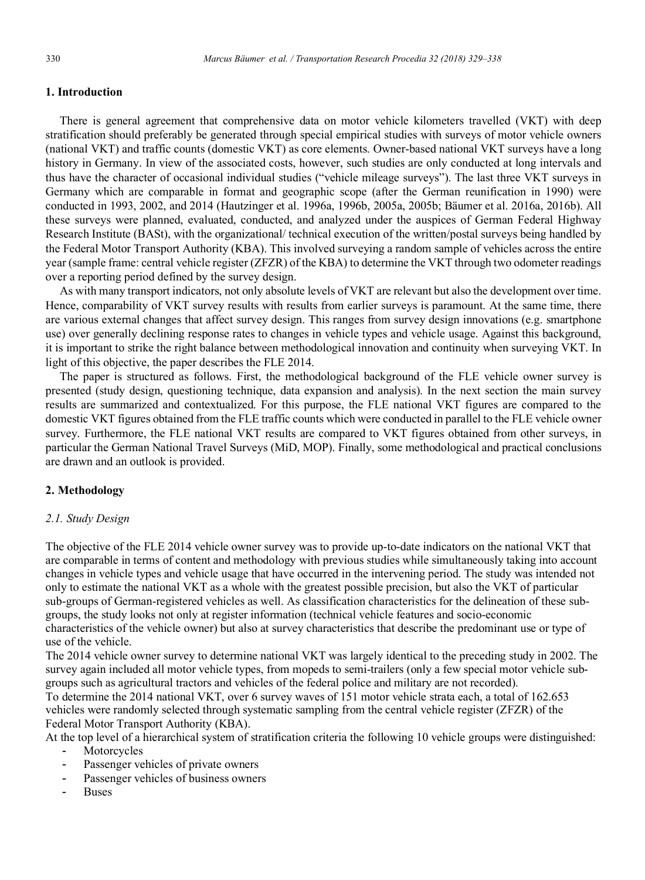# **1. Introduction**

There is general agreement that comprehensive data on motor vehicle kilometers travelled (VKT) with deep stratification should preferably be generated through special empirical studies with surveys of motor vehicle owners (national VKT) and traffic counts (domestic VKT) as core elements. Owner-based national VKT surveys have a long history in Germany. In view of the associated costs, however, such studies are only conducted at long intervals and thus have the character of occasional individual studies ("vehicle mileage surveys"). The last three VKT surveys in Germany which are comparable in format and geographic scope (after the German reunification in 1990) were conducted in 1993, 2002, and 2014 (Hautzinger et al. 1996a, 1996b, 2005a, 2005b; Bäumer et al. 2016a, 2016b). All these surveys were planned, evaluated, conducted, and analyzed under the auspices of German Federal Highway Research Institute (BASt), with the organizational/ technical execution of the written/postal surveys being handled by the Federal Motor Transport Authority (KBA). This involved surveying a random sample of vehicles across the entire year (sample frame: central vehicle register (ZFZR) of the KBA) to determine the VKT through two odometer readings over a reporting period defined by the survey design.

As with many transport indicators, not only absolute levels of VKT are relevant but also the development over time. Hence, comparability of VKT survey results with results from earlier surveys is paramount. At the same time, there are various external changes that affect survey design. This ranges from survey design innovations (e.g. smartphone use) over generally declining response rates to changes in vehicle types and vehicle usage. Against this background, it is important to strike the right balance between methodological innovation and continuity when surveying VKT. In light of this objective, the paper describes the FLE 2014.

The paper is structured as follows. First, the methodological background of the FLE vehicle owner survey is presented (study design, questioning technique, data expansion and analysis). In the next section the main survey results are summarized and contextualized. For this purpose, the FLE national VKT figures are compared to the domestic VKT figures obtained from the FLE traffic counts which were conducted in parallel to the FLE vehicle owner survey. Furthermore, the FLE national VKT results are compared to VKT figures obtained from other surveys, in particular the German National Travel Surveys (MiD, MOP). Finally, some methodological and practical conclusions are drawn and an outlook is provided.

# **2. Methodology**

## *2.1. Study Design*

The objective of the FLE 2014 vehicle owner survey was to provide up-to-date indicators on the national VKT that are comparable in terms of content and methodology with previous studies while simultaneously taking into account changes in vehicle types and vehicle usage that have occurred in the intervening period. The study was intended not only to estimate the national VKT as a whole with the greatest possible precision, but also the VKT of particular sub-groups of German-registered vehicles as well. As classification characteristics for the delineation of these subgroups, the study looks not only at register information (technical vehicle features and socio-economic characteristics of the vehicle owner) but also at survey characteristics that describe the predominant use or type of use of the vehicle.

The 2014 vehicle owner survey to determine national VKT was largely identical to the preceding study in 2002. The survey again included all motor vehicle types, from mopeds to semi-trailers (only a few special motor vehicle subgroups such as agricultural tractors and vehicles of the federal police and military are not recorded).

To determine the 2014 national VKT, over 6 survey waves of 151 motor vehicle strata each, a total of 162.653 vehicles were randomly selected through systematic sampling from the central vehicle register (ZFZR) of the Federal Motor Transport Authority (KBA).

At the top level of a hierarchical system of stratification criteria the following 10 vehicle groups were distinguished:

- Motorcycles
- Passenger vehicles of private owners
- Passenger vehicles of business owners
- **Buses**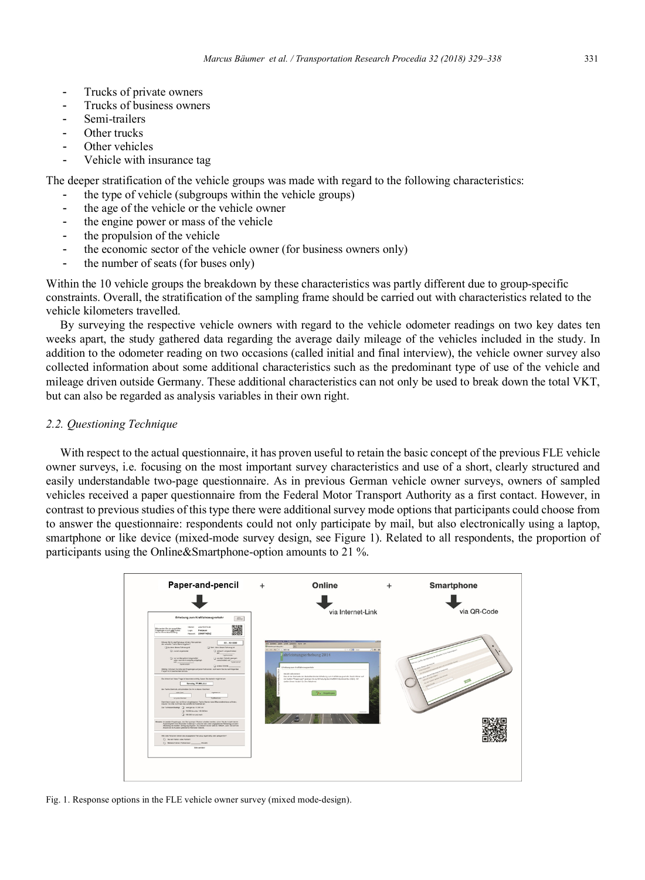- Trucks of private owners
- Trucks of business owners
- Semi-trailers
- Other trucks
- Other vehicles
- Vehicle with insurance tag

The deeper stratification of the vehicle groups was made with regard to the following characteristics:

- the type of vehicle (subgroups within the vehicle groups)
- the age of the vehicle or the vehicle owner
- the engine power or mass of the vehicle
- the propulsion of the vehicle
- the economic sector of the vehicle owner (for business owners only)
- the number of seats (for buses only)

Within the 10 vehicle groups the breakdown by these characteristics was partly different due to group-specific constraints. Overall, the stratification of the sampling frame should be carried out with characteristics related to the vehicle kilometers travelled.

By surveying the respective vehicle owners with regard to the vehicle odometer readings on two key dates ten weeks apart, the study gathered data regarding the average daily mileage of the vehicles included in the study. In addition to the odometer reading on two occasions (called initial and final interview), the vehicle owner survey also collected information about some additional characteristics such as the predominant type of use of the vehicle and mileage driven outside Germany. These additional characteristics can not only be used to break down the total VKT, but can also be regarded as analysis variables in their own right.

# *2.2. Questioning Technique*

With respect to the actual questionnaire, it has proven useful to retain the basic concept of the previous FLE vehicle owner surveys, i.e. focusing on the most important survey characteristics and use of a short, clearly structured and easily understandable two-page questionnaire. As in previous German vehicle owner surveys, owners of sampled vehicles received a paper questionnaire from the Federal Motor Transport Authority as a first contact. However, in contrast to previous studies of this type there were additional survey mode options that participants could choose from to answer the questionnaire: respondents could not only participate by mail, but also electronically using a laptop, smartphone or like device (mixed-mode survey design, see Figure 1). Related to all respondents, the proportion of participants using the Online&Smartphone-option amounts to 21 %.



Fig. 1. Response options in the FLE vehicle owner survey (mixed mode-design).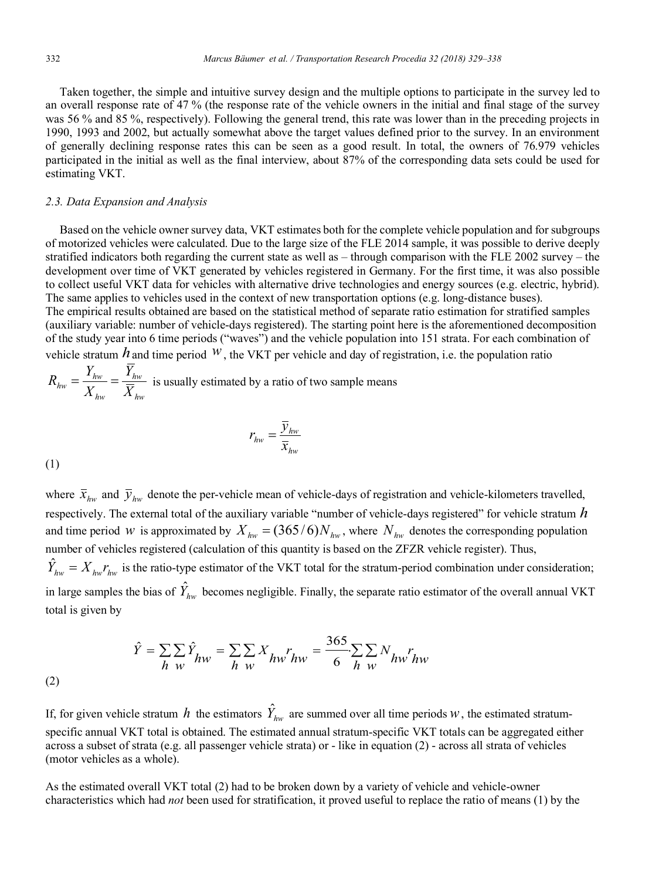Taken together, the simple and intuitive survey design and the multiple options to participate in the survey led to an overall response rate of 47 % (the response rate of the vehicle owners in the initial and final stage of the survey was 56 % and 85 %, respectively). Following the general trend, this rate was lower than in the preceding projects in 1990, 1993 and 2002, but actually somewhat above the target values defined prior to the survey. In an environment of generally declining response rates this can be seen as a good result. In total, the owners of 76.979 vehicles participated in the initial as well as the final interview, about 87% of the corresponding data sets could be used for estimating VKT.

#### *2.3. Data Expansion and Analysis*

Based on the vehicle owner survey data, VKT estimates both for the complete vehicle population and for subgroups of motorized vehicles were calculated. Due to the large size of the FLE 2014 sample, it was possible to derive deeply stratified indicators both regarding the current state as well as – through comparison with the FLE 2002 survey – the development over time of VKT generated by vehicles registered in Germany. For the first time, it was also possible to collect useful VKT data for vehicles with alternative drive technologies and energy sources (e.g. electric, hybrid). The same applies to vehicles used in the context of new transportation options (e.g. long-distance buses). The empirical results obtained are based on the statistical method of separate ratio estimation for stratified samples (auxiliary variable: number of vehicle-days registered). The starting point here is the aforementioned decomposition of the study year into 6 time periods ("waves") and the vehicle population into 151 strata. For each combination of vehicle stratum  $h$  and time period  $W$ , the VKT per vehicle and day of registration, i.e. the population ratio

is usually estimated by a ratio of two sample means *hw hw hw*  $_{hw}$  =  $\frac{I_{hw}}{X_{hw}}$  =  $\frac{I}{\overline{X}}$ *Y X*  $R_{hw} = \frac{Y_{hw}}{Y} =$ 

$$
r_{hw} = \frac{\overline{y}_{hw}}{\overline{x}_{hw}}
$$
 (1)

where  $\bar{x}_{hw}$  and  $\bar{y}_{hw}$  denote the per-vehicle mean of vehicle-days of registration and vehicle-kilometers travelled, respectively. The external total of the auxiliary variable "number of vehicle-days registered" for vehicle stratum *h* and time period *w* is approximated by  $X_{hw} = (365/6)N_{hw}$ , where  $N_{hw}$  denotes the corresponding population number of vehicles registered (calculation of this quantity is based on the ZFZR vehicle register). Thus,  $\hat{Y}_{hw} = X_{hw} r_{hw}$  is the ratio-type estimator of the VKT total for the stratum-period combination under consideration;

in large samples the bias of  $\hat{Y}_{hw}$  becomes negligible. Finally, the separate ratio estimator of the overall annual VKT total is given by

$$
\hat{Y} = \sum_{h} \sum_{w} \hat{Y}_{hw} = \sum_{h} \sum_{w} X_{hw}^{r} h w = \frac{365}{6} \sum_{h} \sum_{w} N_{hw}^{r} h w
$$

If, for given vehicle stratum h the estimators  $\hat{Y}_{hw}$  are summed over all time periods w, the estimated stratumspecific annual VKT total is obtained. The estimated annual stratum-specific VKT totals can be aggregated either across a subset of strata (e.g. all passenger vehicle strata) or - like in equation  $(2)$  - across all strata of vehicles (motor vehicles as a whole).

As the estimated overall VKT total (2) had to be broken down by a variety of vehicle and vehicle-owner characteristics which had *not* been used for stratification, it proved useful to replace the ratio of means (1) by the

(2)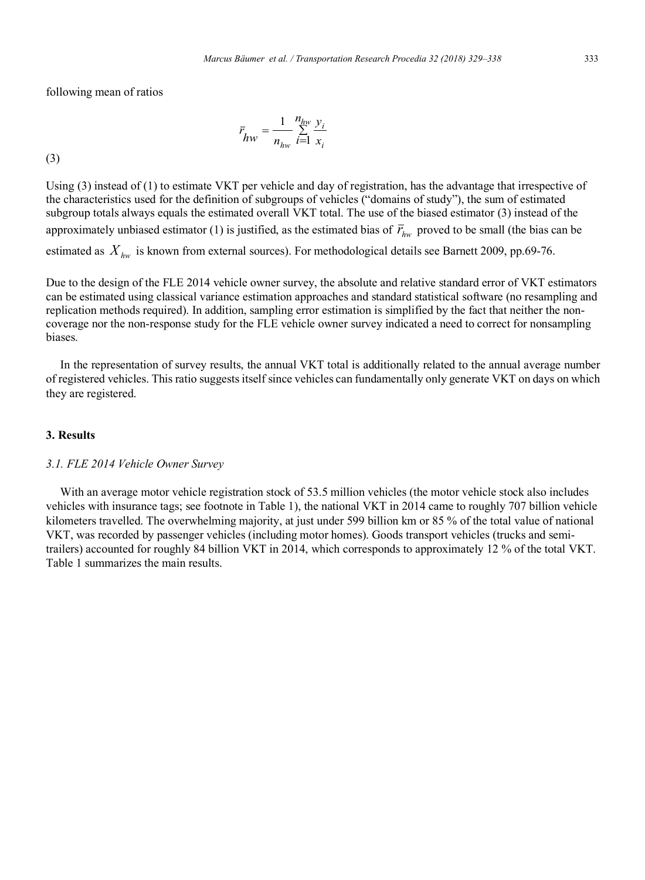following mean of ratios

$$
\bar{r}_{hw} = \frac{1}{n_{hw}} \sum_{i=1}^{n_{hw}} \frac{y_i}{x_i}
$$

(3)

Using (3) instead of (1) to estimate VKT per vehicle and day of registration, has the advantage that irrespective of the characteristics used for the definition of subgroups of vehicles ("domains of study"), the sum of estimated subgroup totals always equals the estimated overall VKT total. The use of the biased estimator (3) instead of the approximately unbiased estimator (1) is justified, as the estimated bias of  $\bar{r}_{hw}$  proved to be small (the bias can be estimated as  $X_{hw}$  is known from external sources). For methodological details see Barnett 2009, pp.69-76.

Due to the design of the FLE 2014 vehicle owner survey, the absolute and relative standard error of VKT estimators can be estimated using classical variance estimation approaches and standard statistical software (no resampling and replication methods required). In addition, sampling error estimation is simplified by the fact that neither the noncoverage nor the non-response study for the FLE vehicle owner survey indicated a need to correct for nonsampling biases.

In the representation of survey results, the annual VKT total is additionally related to the annual average number of registered vehicles. This ratio suggests itself since vehicles can fundamentally only generate VKT on days on which they are registered.

## **3. Results**

### *3.1. FLE 2014 Vehicle Owner Survey*

With an average motor vehicle registration stock of 53.5 million vehicles (the motor vehicle stock also includes vehicles with insurance tags; see footnote in Table 1), the national VKT in 2014 came to roughly 707 billion vehicle kilometers travelled. The overwhelming majority, at just under 599 billion km or 85 % of the total value of national VKT, was recorded by passenger vehicles (including motor homes). Goods transport vehicles (trucks and semitrailers) accounted for roughly 84 billion VKT in 2014, which corresponds to approximately 12 % of the total VKT. Table 1 summarizes the main results.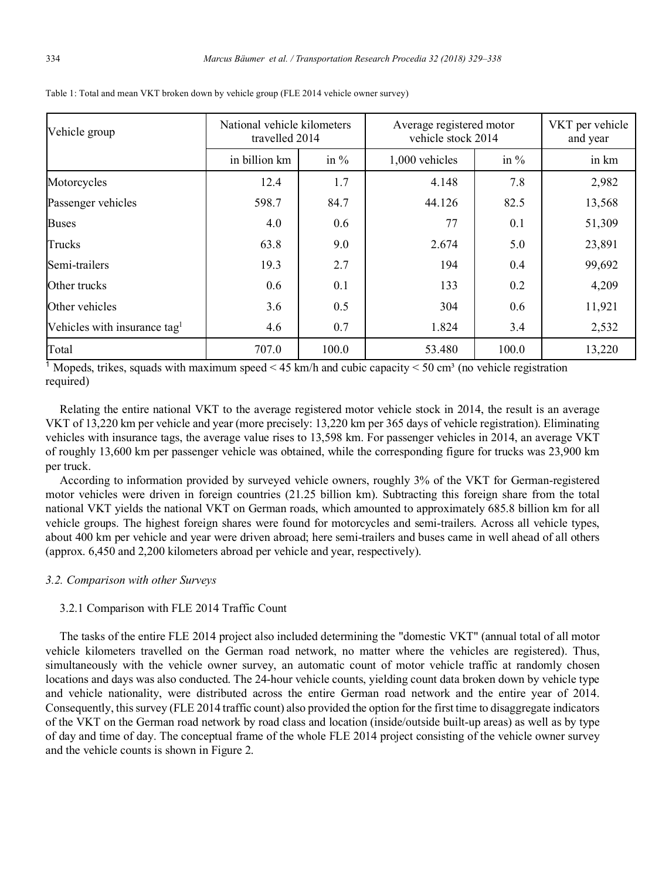| Vehicle group                            | National vehicle kilometers<br>travelled 2014 |        | Average registered motor<br>vehicle stock 2014 |        | VKT per vehicle<br>and year |
|------------------------------------------|-----------------------------------------------|--------|------------------------------------------------|--------|-----------------------------|
|                                          | in billion km                                 | in $%$ | 1,000 vehicles                                 | in $%$ | in km                       |
| Motorcycles                              | 12.4                                          | 1.7    | 4.148                                          | 7.8    | 2,982                       |
| Passenger vehicles                       | 598.7                                         | 84.7   | 44.126                                         | 82.5   | 13,568                      |
| <b>Buses</b>                             | 4.0                                           | 0.6    | 77                                             | 0.1    | 51,309                      |
| Trucks                                   | 63.8                                          | 9.0    | 2.674                                          | 5.0    | 23,891                      |
| Semi-trailers                            | 19.3                                          | 2.7    | 194                                            | 0.4    | 99,692                      |
| Other trucks                             | 0.6                                           | 0.1    | 133                                            | 0.2    | 4,209                       |
| Other vehicles                           | 3.6                                           | 0.5    | 304                                            | 0.6    | 11,921                      |
| Vehicles with insurance tag <sup>1</sup> | 4.6                                           | 0.7    | 1.824                                          | 3.4    | 2,532                       |
| Total                                    | 707.0                                         | 100.0  | 53.480                                         | 100.0  | 13,220                      |

Table 1: Total and mean VKT broken down by vehicle group (FLE 2014 vehicle owner survey)

<sup>1</sup> Mopeds, trikes, squads with maximum speed  $\leq$  45 km/h and cubic capacity  $\leq$  50 cm<sup>3</sup> (no vehicle registration required)

Relating the entire national VKT to the average registered motor vehicle stock in 2014, the result is an average VKT of 13,220 km per vehicle and year (more precisely: 13,220 km per 365 days of vehicle registration). Eliminating vehicles with insurance tags, the average value rises to 13,598 km. For passenger vehicles in 2014, an average VKT of roughly 13,600 km per passenger vehicle was obtained, while the corresponding figure for trucks was 23,900 km per truck.

According to information provided by surveyed vehicle owners, roughly 3% of the VKT for German-registered motor vehicles were driven in foreign countries (21.25 billion km). Subtracting this foreign share from the total national VKT yields the national VKT on German roads, which amounted to approximately 685.8 billion km for all vehicle groups. The highest foreign shares were found for motorcycles and semi-trailers. Across all vehicle types, about 400 km per vehicle and year were driven abroad; here semi-trailers and buses came in well ahead of all others (approx. 6,450 and 2,200 kilometers abroad per vehicle and year, respectively).

## *3.2. Comparison with other Surveys*

# 3.2.1 Comparison with FLE 2014 Traffic Count

The tasks of the entire FLE 2014 project also included determining the "domestic VKT" (annual total of all motor vehicle kilometers travelled on the German road network, no matter where the vehicles are registered). Thus, simultaneously with the vehicle owner survey, an automatic count of motor vehicle traffic at randomly chosen locations and days was also conducted. The 24-hour vehicle counts, yielding count data broken down by vehicle type and vehicle nationality, were distributed across the entire German road network and the entire year of 2014. Consequently, this survey (FLE 2014 traffic count) also provided the option for the first time to disaggregate indicators of the VKT on the German road network by road class and location (inside/outside built-up areas) as well as by type of day and time of day. The conceptual frame of the whole FLE 2014 project consisting of the vehicle owner survey and the vehicle counts is shown in Figure 2.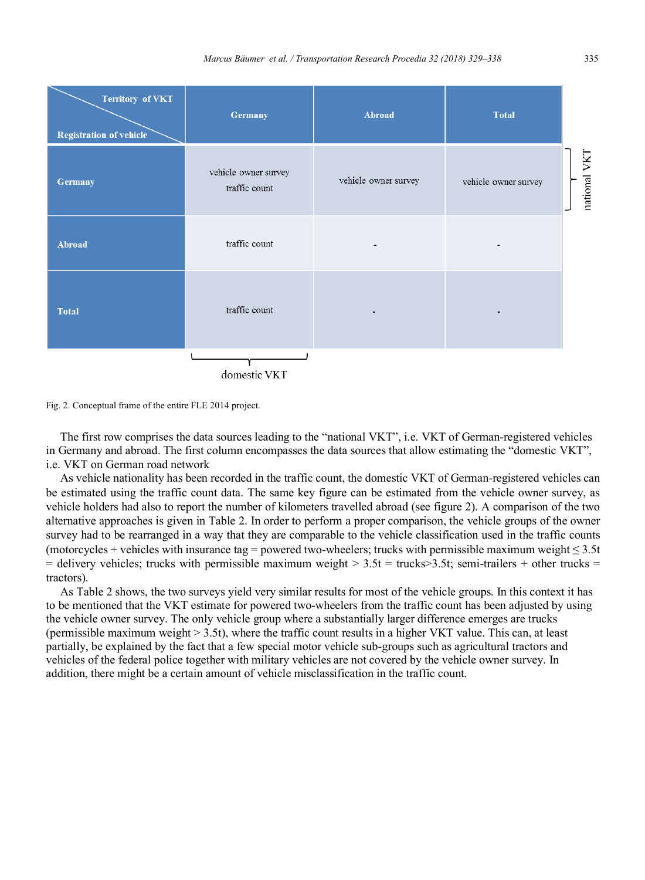

domestic VKT

#### Fig. 2. Conceptual frame of the entire FLE 2014 project.

The first row comprises the data sources leading to the "national VKT", i.e. VKT of German-registered vehicles in Germany and abroad. The first column encompasses the data sources that allow estimating the "domestic VKT", i.e. VKT on German road network

As vehicle nationality has been recorded in the traffic count, the domestic VKT of German-registered vehicles can be estimated using the traffic count data. The same key figure can be estimated from the vehicle owner survey, as vehicle holders had also to report the number of kilometers travelled abroad (see figure 2). A comparison of the two alternative approaches is given in Table 2. In order to perform a proper comparison, the vehicle groups of the owner survey had to be rearranged in a way that they are comparable to the vehicle classification used in the traffic counts (motorcycles + vehicles with insurance tag = powered two-wheelers; trucks with permissible maximum weight  $\leq 3.5t$  $=$  delivery vehicles; trucks with permissible maximum weight  $>$  3.5t = trucks $>$ 3.5t; semi-trailers + other trucks = tractors).

As Table 2 shows, the two surveys yield very similar results for most of the vehicle groups. In this context it has to be mentioned that the VKT estimate for powered two-wheelers from the traffic count has been adjusted by using the vehicle owner survey. The only vehicle group where a substantially larger difference emerges are trucks (permissible maximum weight > 3.5t), where the traffic count results in a higher VKT value. This can, at least partially, be explained by the fact that a few special motor vehicle sub-groups such as agricultural tractors and vehicles of the federal police together with military vehicles are not covered by the vehicle owner survey. In addition, there might be a certain amount of vehicle misclassification in the traffic count.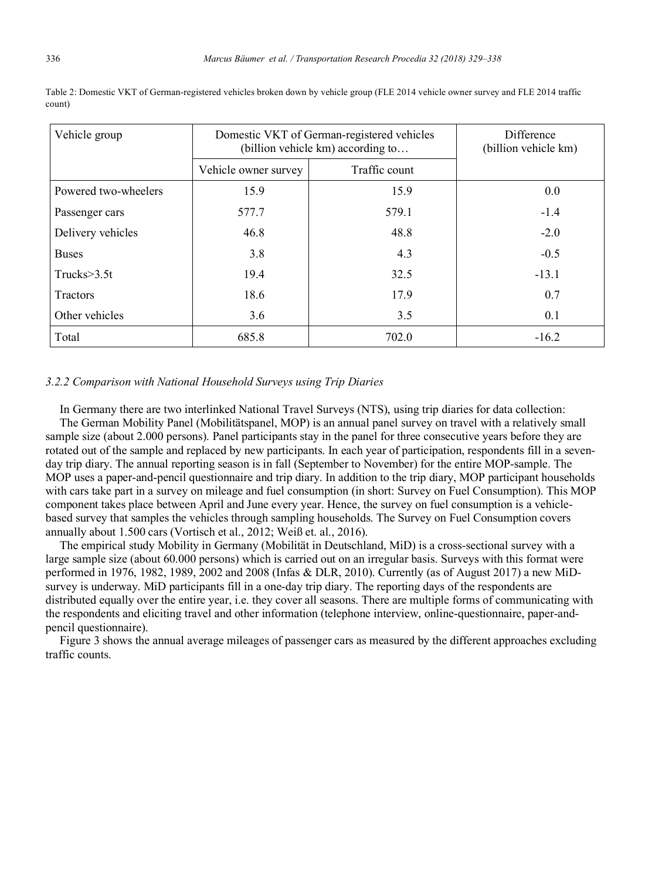| Vehicle group        | Domestic VKT of German-registered vehicles<br>(billion vehicle km) according to | <b>Difference</b><br>(billion vehicle km) |         |
|----------------------|---------------------------------------------------------------------------------|-------------------------------------------|---------|
|                      | Vehicle owner survey                                                            | Traffic count                             |         |
| Powered two-wheelers | 15.9                                                                            | 15.9                                      | 0.0     |
| Passenger cars       | 577.7                                                                           | 579.1                                     | $-1.4$  |
| Delivery vehicles    | 46.8                                                                            | 48.8                                      | $-2.0$  |
| <b>Buses</b>         | 3.8                                                                             | 4.3                                       | $-0.5$  |
| Trucks $>3.5t$       | 19.4                                                                            | 32.5                                      | $-13.1$ |
| Tractors             | 18.6                                                                            | 17.9                                      | 0.7     |
| Other vehicles       | 3.6                                                                             | 3.5                                       | 0.1     |
| Total                | 685.8                                                                           | 702.0                                     | $-16.2$ |

Table 2: Domestic VKT of German-registered vehicles broken down by vehicle group (FLE 2014 vehicle owner survey and FLE 2014 traffic count)

## *3.2.2 Comparison with National Household Surveys using Trip Diaries*

In Germany there are two interlinked National Travel Surveys (NTS), using trip diaries for data collection: The German Mobility Panel (Mobilitätspanel, MOP) is an annual panel survey on travel with a relatively small sample size (about 2.000 persons). Panel participants stay in the panel for three consecutive years before they are rotated out of the sample and replaced by new participants. In each year of participation, respondents fill in a sevenday trip diary. The annual reporting season is in fall (September to November) for the entire MOP-sample. The MOP uses a paper-and-pencil questionnaire and trip diary. In addition to the trip diary, MOP participant households with cars take part in a survey on mileage and fuel consumption (in short: Survey on Fuel Consumption). This MOP component takes place between April and June every year. Hence, the survey on fuel consumption is a vehiclebased survey that samples the vehicles through sampling households. The Survey on Fuel Consumption covers annually about 1.500 cars (Vortisch et al., 2012; Weiß et. al., 2016).

The empirical study Mobility in Germany (Mobilität in Deutschland, MiD) is a cross-sectional survey with a large sample size (about 60.000 persons) which is carried out on an irregular basis. Surveys with this format were performed in 1976, 1982, 1989, 2002 and 2008 (Infas & DLR, 2010). Currently (as of August 2017) a new MiDsurvey is underway. MiD participants fill in a one-day trip diary. The reporting days of the respondents are distributed equally over the entire year, i.e. they cover all seasons. There are multiple forms of communicating with the respondents and eliciting travel and other information (telephone interview, online-questionnaire, paper-andpencil questionnaire).

Figure 3 shows the annual average mileages of passenger cars as measured by the different approaches excluding traffic counts.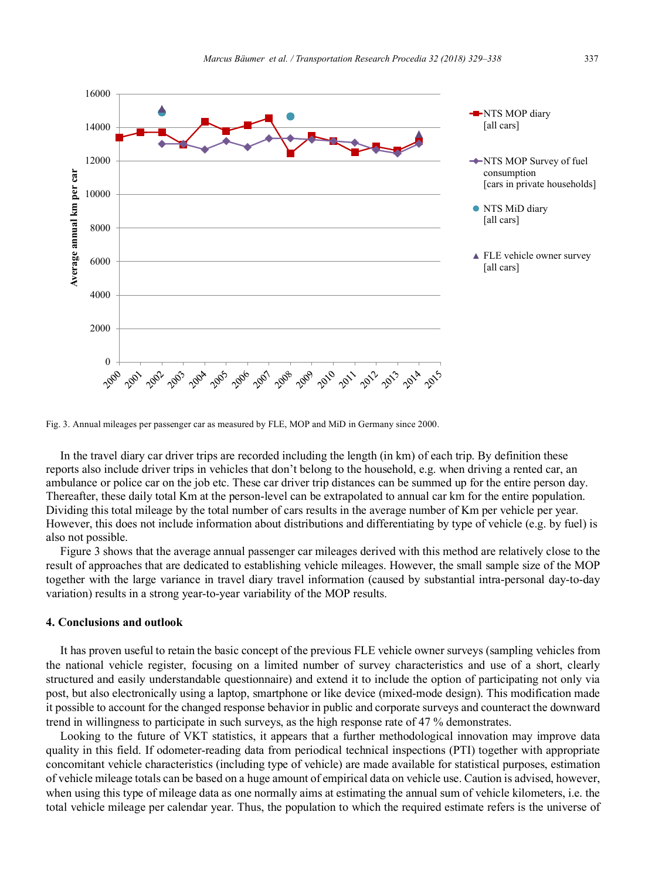

Fig. 3. Annual mileages per passenger car as measured by FLE, MOP and MiD in Germany since 2000.

In the travel diary car driver trips are recorded including the length (in km) of each trip. By definition these reports also include driver trips in vehicles that don't belong to the household, e.g. when driving a rented car, an ambulance or police car on the job etc. These car driver trip distances can be summed up for the entire person day. Thereafter, these daily total Km at the person-level can be extrapolated to annual car km for the entire population. Dividing this total mileage by the total number of cars results in the average number of Km per vehicle per year. However, this does not include information about distributions and differentiating by type of vehicle (e.g. by fuel) is also not possible.

Figure 3 shows that the average annual passenger car mileages derived with this method are relatively close to the result of approaches that are dedicated to establishing vehicle mileages. However, the small sample size of the MOP together with the large variance in travel diary travel information (caused by substantial intra-personal day-to-day variation) results in a strong year-to-year variability of the MOP results.

#### **4. Conclusions and outlook**

It has proven useful to retain the basic concept of the previous FLE vehicle owner surveys (sampling vehicles from the national vehicle register, focusing on a limited number of survey characteristics and use of a short, clearly structured and easily understandable questionnaire) and extend it to include the option of participating not only via post, but also electronically using a laptop, smartphone or like device (mixed-mode design). This modification made it possible to account for the changed response behavior in public and corporate surveys and counteract the downward trend in willingness to participate in such surveys, as the high response rate of 47 % demonstrates.

Looking to the future of VKT statistics, it appears that a further methodological innovation may improve data quality in this field. If odometer-reading data from periodical technical inspections (PTI) together with appropriate concomitant vehicle characteristics (including type of vehicle) are made available for statistical purposes, estimation of vehicle mileage totals can be based on a huge amount of empirical data on vehicle use. Caution is advised, however, when using this type of mileage data as one normally aims at estimating the annual sum of vehicle kilometers, i.e. the total vehicle mileage per calendar year. Thus, the population to which the required estimate refers is the universe of